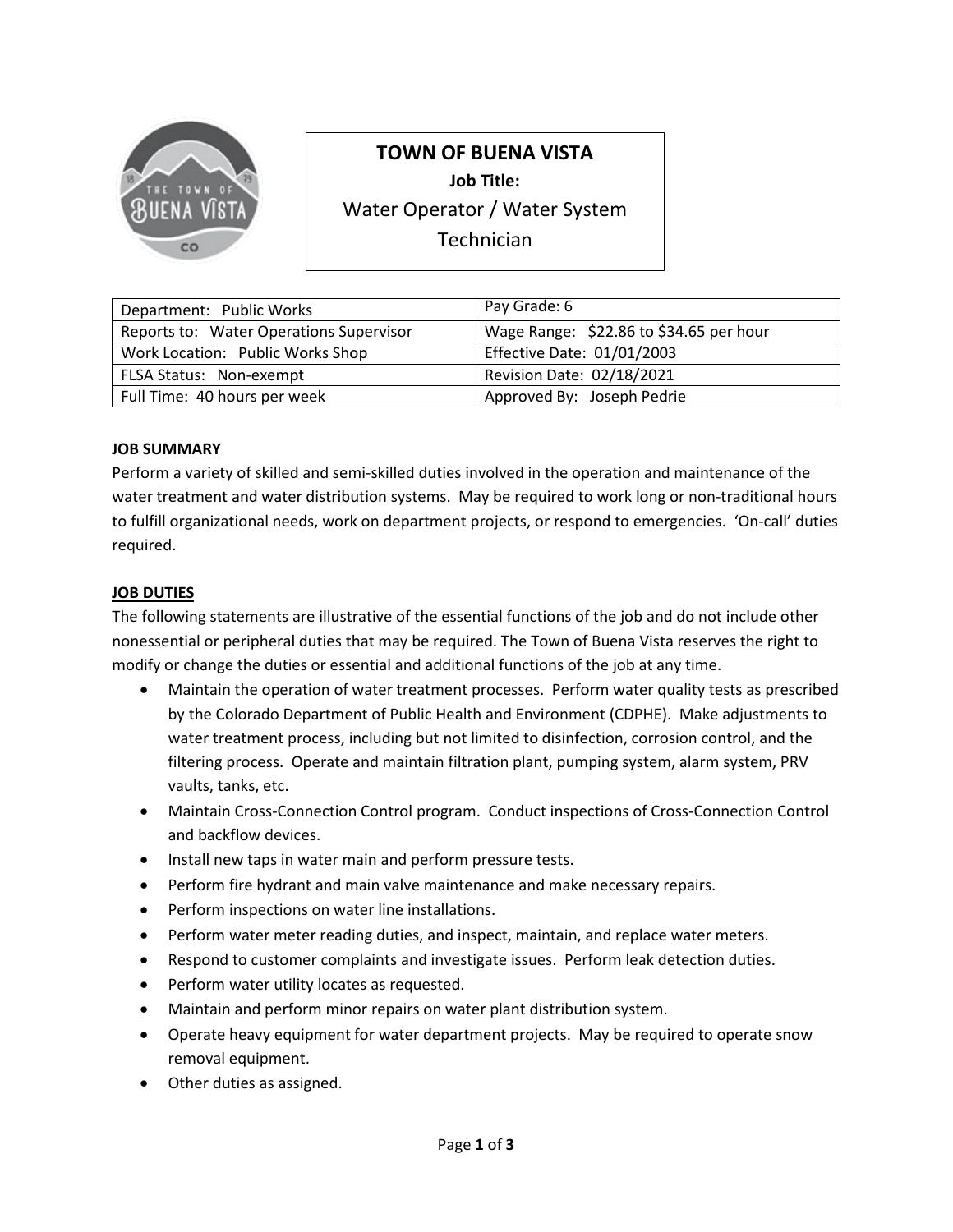

# **TOWN OF BUENA VISTA**

**Job Title:** 

Water Operator / Water System

**Technician** 

| Department: Public Works                | Pay Grade: 6                            |
|-----------------------------------------|-----------------------------------------|
| Reports to: Water Operations Supervisor | Wage Range: \$22.86 to \$34.65 per hour |
| Work Location: Public Works Shop        | Effective Date: 01/01/2003              |
| FLSA Status: Non-exempt                 | Revision Date: 02/18/2021               |
| Full Time: 40 hours per week            | Approved By: Joseph Pedrie              |

## **JOB SUMMARY**

Perform a variety of skilled and semi-skilled duties involved in the operation and maintenance of the water treatment and water distribution systems. May be required to work long or non-traditional hours to fulfill organizational needs, work on department projects, or respond to emergencies. 'On-call' duties required.

#### **JOB DUTIES**

The following statements are illustrative of the essential functions of the job and do not include other nonessential or peripheral duties that may be required. The Town of Buena Vista reserves the right to modify or change the duties or essential and additional functions of the job at any time.

- Maintain the operation of water treatment processes. Perform water quality tests as prescribed by the Colorado Department of Public Health and Environment (CDPHE). Make adjustments to water treatment process, including but not limited to disinfection, corrosion control, and the filtering process. Operate and maintain filtration plant, pumping system, alarm system, PRV vaults, tanks, etc.
- Maintain Cross-Connection Control program. Conduct inspections of Cross-Connection Control and backflow devices.
- Install new taps in water main and perform pressure tests.
- Perform fire hydrant and main valve maintenance and make necessary repairs.
- Perform inspections on water line installations.
- Perform water meter reading duties, and inspect, maintain, and replace water meters.
- Respond to customer complaints and investigate issues. Perform leak detection duties.
- Perform water utility locates as requested.
- Maintain and perform minor repairs on water plant distribution system.
- Operate heavy equipment for water department projects. May be required to operate snow removal equipment.
- Other duties as assigned.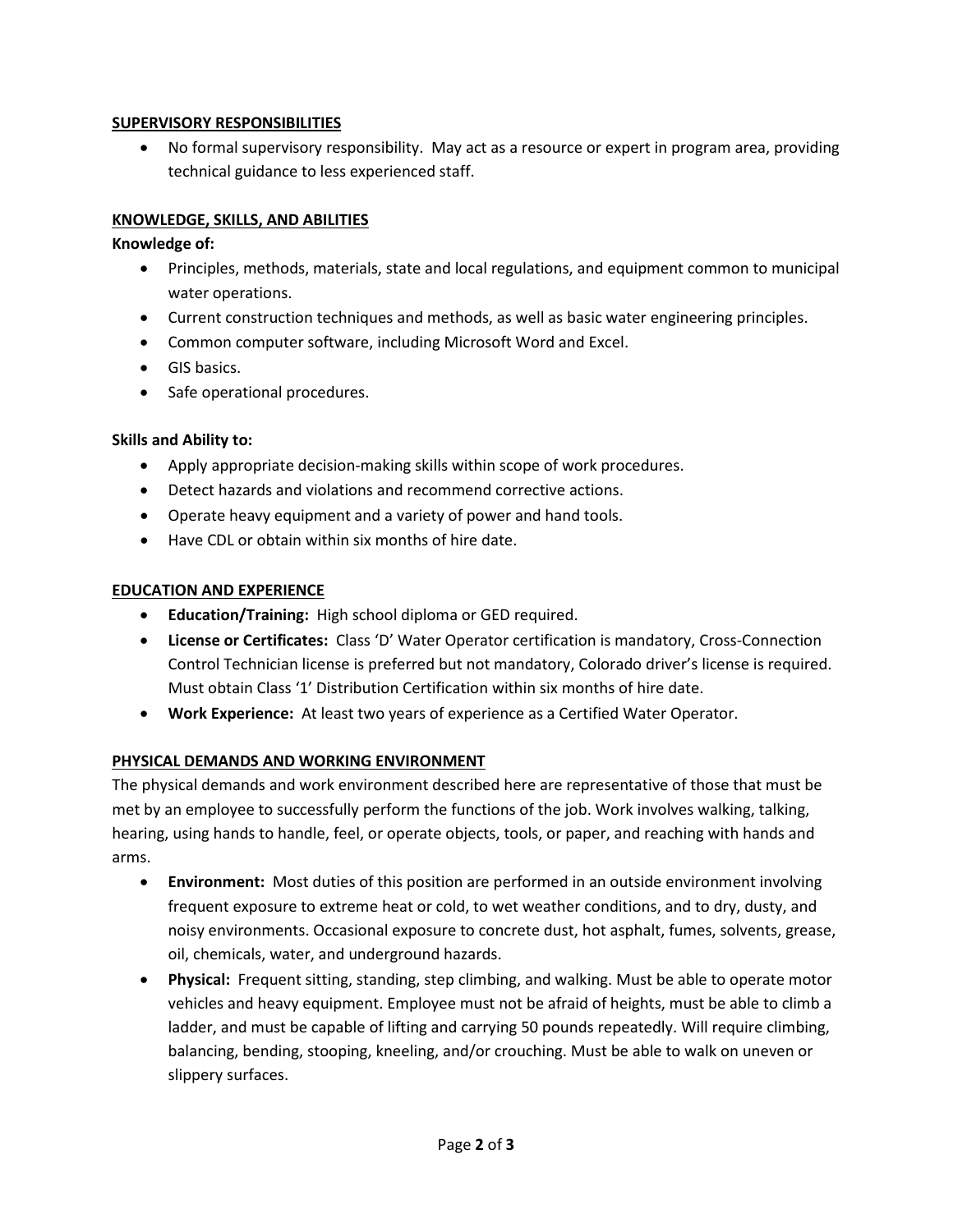### **SUPERVISORY RESPONSIBILITIES**

• No formal supervisory responsibility. May act as a resource or expert in program area, providing technical guidance to less experienced staff.

## **KNOWLEDGE, SKILLS, AND ABILITIES**

#### **Knowledge of:**

- Principles, methods, materials, state and local regulations, and equipment common to municipal water operations.
- Current construction techniques and methods, as well as basic water engineering principles.
- Common computer software, including Microsoft Word and Excel.
- GIS basics.
- Safe operational procedures.

#### **Skills and Ability to:**

- Apply appropriate decision-making skills within scope of work procedures.
- Detect hazards and violations and recommend corrective actions.
- Operate heavy equipment and a variety of power and hand tools.
- Have CDL or obtain within six months of hire date.

#### **EDUCATION AND EXPERIENCE**

- **Education/Training:** High school diploma or GED required.
- **License or Certificates:** Class 'D' Water Operator certification is mandatory, Cross-Connection Control Technician license is preferred but not mandatory, Colorado driver's license is required. Must obtain Class '1' Distribution Certification within six months of hire date.
- **Work Experience:** At least two years of experience as a Certified Water Operator.

## **PHYSICAL DEMANDS AND WORKING ENVIRONMENT**

The physical demands and work environment described here are representative of those that must be met by an employee to successfully perform the functions of the job. Work involves walking, talking, hearing, using hands to handle, feel, or operate objects, tools, or paper, and reaching with hands and arms.

- **Environment:** Most duties of this position are performed in an outside environment involving frequent exposure to extreme heat or cold, to wet weather conditions, and to dry, dusty, and noisy environments. Occasional exposure to concrete dust, hot asphalt, fumes, solvents, grease, oil, chemicals, water, and underground hazards.
- **Physical:** Frequent sitting, standing, step climbing, and walking. Must be able to operate motor vehicles and heavy equipment. Employee must not be afraid of heights, must be able to climb a ladder, and must be capable of lifting and carrying 50 pounds repeatedly. Will require climbing, balancing, bending, stooping, kneeling, and/or crouching. Must be able to walk on uneven or slippery surfaces.